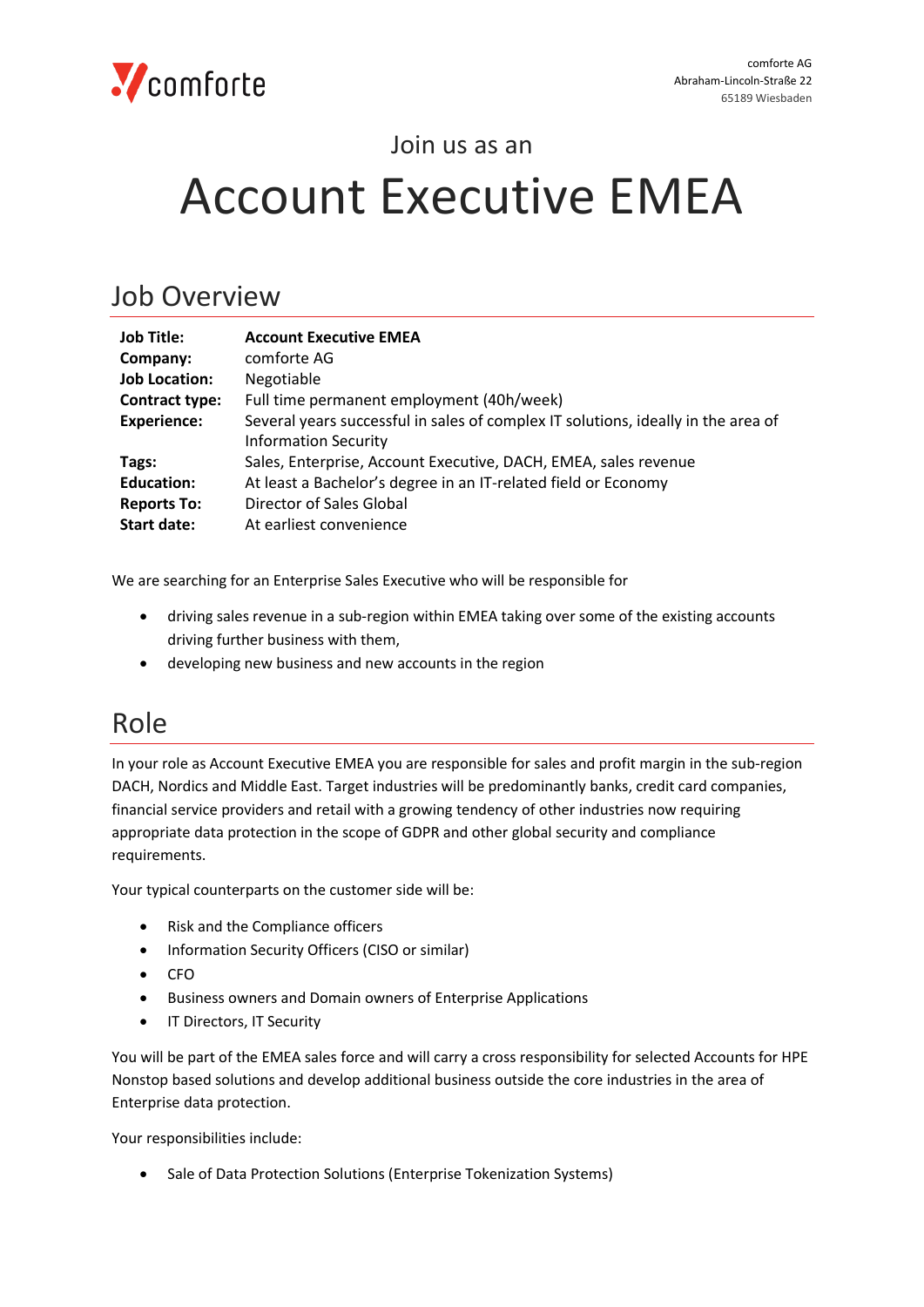#### Join us as an

# Account Executive EMEA

#### Job Overview

| <b>Job Title:</b>     | <b>Account Executive EMEA</b>                                                     |
|-----------------------|-----------------------------------------------------------------------------------|
| Company:              | comforte AG                                                                       |
| <b>Job Location:</b>  | Negotiable                                                                        |
| <b>Contract type:</b> | Full time permanent employment (40h/week)                                         |
| <b>Experience:</b>    | Several years successful in sales of complex IT solutions, ideally in the area of |
|                       | <b>Information Security</b>                                                       |
| Tags:                 | Sales, Enterprise, Account Executive, DACH, EMEA, sales revenue                   |
| <b>Education:</b>     | At least a Bachelor's degree in an IT-related field or Economy                    |
| <b>Reports To:</b>    | Director of Sales Global                                                          |
| <b>Start date:</b>    | At earliest convenience                                                           |

We are searching for an Enterprise Sales Executive who will be responsible for

- driving sales revenue in a sub-region within EMEA taking over some of the existing accounts driving further business with them,
- developing new business and new accounts in the region

#### Role

In your role as Account Executive EMEA you are responsible for sales and profit margin in the sub-region DACH, Nordics and Middle East. Target industries will be predominantly banks, credit card companies, financial service providers and retail with a growing tendency of other industries now requiring appropriate data protection in the scope of GDPR and other global security and compliance requirements.

Your typical counterparts on the customer side will be:

- Risk and the Compliance officers
- Information Security Officers (CISO or similar)
- CFO
- Business owners and Domain owners of Enterprise Applications
- **•** IT Directors, IT Security

You will be part of the EMEA sales force and will carry a cross responsibility for selected Accounts for HPE Nonstop based solutions and develop additional business outside the core industries in the area of Enterprise data protection.

Your responsibilities include:

• Sale of Data Protection Solutions (Enterprise Tokenization Systems)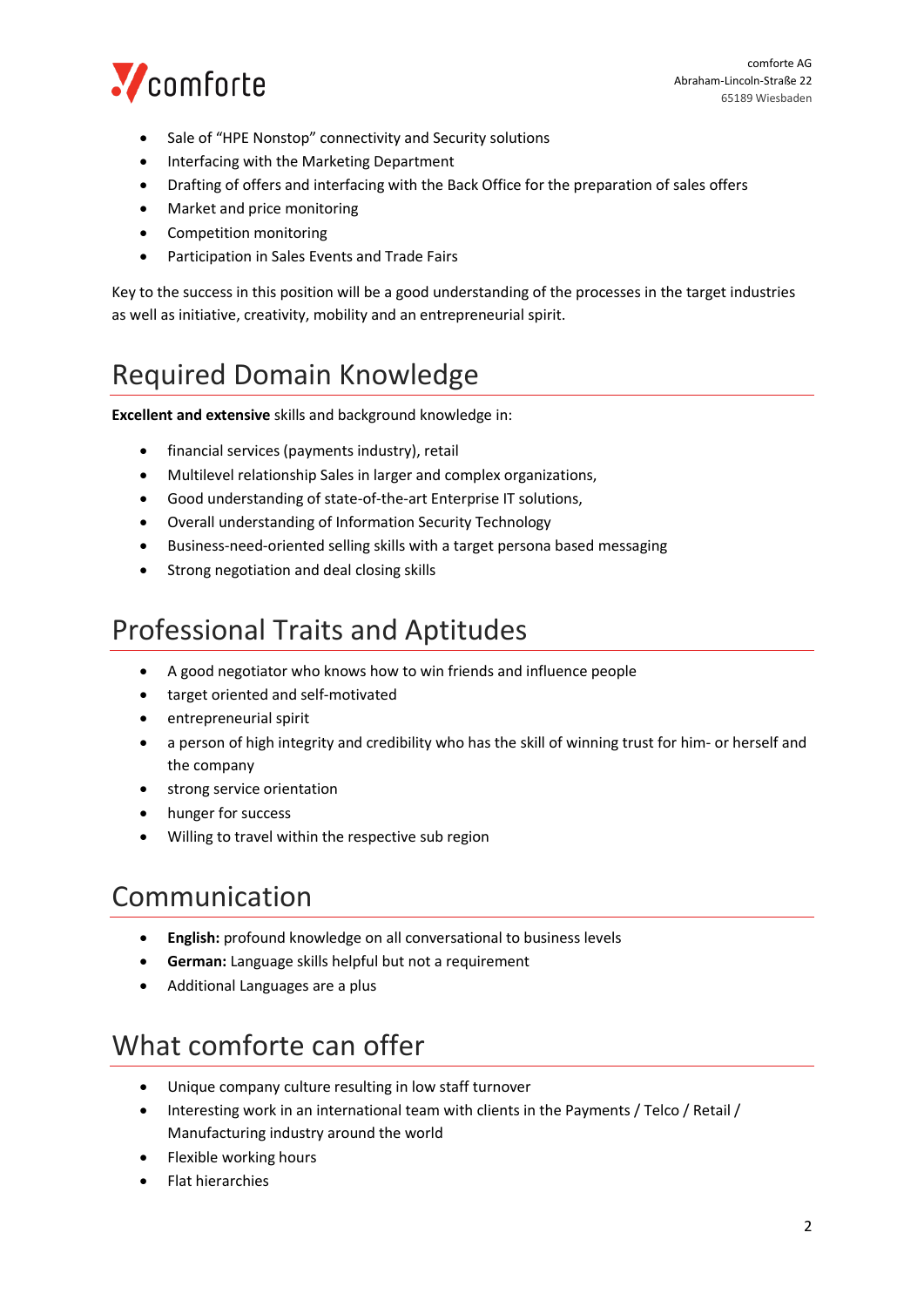

- Sale of "HPE Nonstop" connectivity and Security solutions
- Interfacing with the Marketing Department
- Drafting of offers and interfacing with the Back Office for the preparation of sales offers
- Market and price monitoring
- Competition monitoring
- Participation in Sales Events and Trade Fairs

Key to the success in this position will be a good understanding of the processes in the target industries as well as initiative, creativity, mobility and an entrepreneurial spirit.

# Required Domain Knowledge

**Excellent and extensive** skills and background knowledge in:

- financial services (payments industry), retail
- Multilevel relationship Sales in larger and complex organizations,
- Good understanding of state-of-the-art Enterprise IT solutions,
- Overall understanding of Information Security Technology
- Business-need-oriented selling skills with a target persona based messaging
- Strong negotiation and deal closing skills

#### Professional Traits and Aptitudes

- A good negotiator who knows how to win friends and influence people
- target oriented and self-motivated
- entrepreneurial spirit
- a person of high integrity and credibility who has the skill of winning trust for him- or herself and the company
- **•** strong service orientation
- hunger for success
- Willing to travel within the respective sub region

### Communication

- **English:** profound knowledge on all conversational to business levels
- **German:** Language skills helpful but not a requirement
- Additional Languages are a plus

# What comforte can offer

- Unique company culture resulting in low staff turnover
- Interesting work in an international team with clients in the Payments / Telco / Retail / Manufacturing industry around the world
- Flexible working hours
- Flat hierarchies